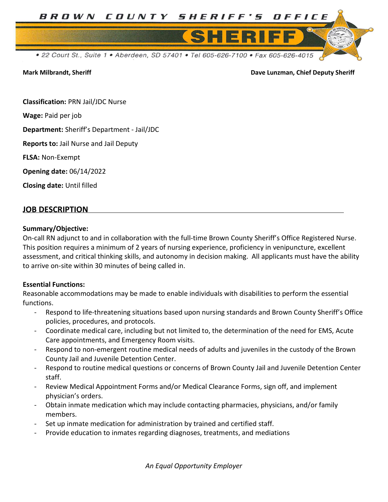

Mark Milbrandt, Sheriff Dave Lunzman, Chief Deputy Sheriff

Classification: PRN Jail/JDC Nurse

Wage: Paid per job

Department: Sheriff's Department - Jail/JDC

Reports to: Jail Nurse and Jail Deputy

FLSA: Non-Exempt

Opening date: 06/14/2022

Closing date: Until filled

## JOB DESCRIPTION

#### Summary/Objective:

On-call RN adjunct to and in collaboration with the full-time Brown County Sheriff's Office Registered Nurse. This position requires a minimum of 2 years of nursing experience, proficiency in venipuncture, excellent assessment, and critical thinking skills, and autonomy in decision making. All applicants must have the ability to arrive on-site within 30 minutes of being called in.

#### Essential Functions:

Reasonable accommodations may be made to enable individuals with disabilities to perform the essential functions.

- Respond to life-threatening situations based upon nursing standards and Brown County Sheriff's Office policies, procedures, and protocols.
- Coordinate medical care, including but not limited to, the determination of the need for EMS, Acute Care appointments, and Emergency Room visits.
- Respond to non-emergent routine medical needs of adults and juveniles in the custody of the Brown County Jail and Juvenile Detention Center.
- Respond to routine medical questions or concerns of Brown County Jail and Juvenile Detention Center staff.
- Review Medical Appointment Forms and/or Medical Clearance Forms, sign off, and implement physician's orders.
- Obtain inmate medication which may include contacting pharmacies, physicians, and/or family members.
- Set up inmate medication for administration by trained and certified staff.
- Provide education to inmates regarding diagnoses, treatments, and mediations

An Equal Opportunity Employer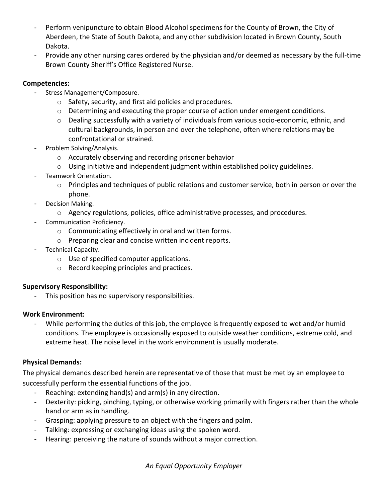- Perform venipuncture to obtain Blood Alcohol specimens for the County of Brown, the City of Aberdeen, the State of South Dakota, and any other subdivision located in Brown County, South Dakota.
- Provide any other nursing cares ordered by the physician and/or deemed as necessary by the full-time Brown County Sheriff's Office Registered Nurse.

# Competencies:

- Stress Management/Composure.
	- o Safety, security, and first aid policies and procedures.
	- o Determining and executing the proper course of action under emergent conditions.
	- o Dealing successfully with a variety of individuals from various socio-economic, ethnic, and cultural backgrounds, in person and over the telephone, often where relations may be confrontational or strained.
- Problem Solving/Analysis.
	- o Accurately observing and recording prisoner behavior
	- o Using initiative and independent judgment within established policy guidelines.
- Teamwork Orientation.
	- o Principles and techniques of public relations and customer service, both in person or over the phone.
- Decision Making.
	- o Agency regulations, policies, office administrative processes, and procedures.
- Communication Proficiency.
	- o Communicating effectively in oral and written forms.
	- o Preparing clear and concise written incident reports.
- Technical Capacity.
	- o Use of specified computer applications.
	- o Record keeping principles and practices.

## Supervisory Responsibility:

This position has no supervisory responsibilities.

## Work Environment:

While performing the duties of this job, the employee is frequently exposed to wet and/or humid conditions. The employee is occasionally exposed to outside weather conditions, extreme cold, and extreme heat. The noise level in the work environment is usually moderate.

## Physical Demands:

The physical demands described herein are representative of those that must be met by an employee to successfully perform the essential functions of the job.

- Reaching: extending hand(s) and arm(s) in any direction.
- Dexterity: picking, pinching, typing, or otherwise working primarily with fingers rather than the whole hand or arm as in handling.
- Grasping: applying pressure to an object with the fingers and palm.
- Talking: expressing or exchanging ideas using the spoken word.
- Hearing: perceiving the nature of sounds without a major correction.